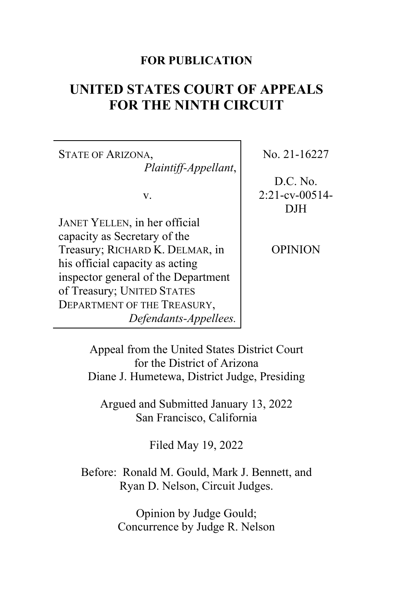## **FOR PUBLICATION**

# **UNITED STATES COURT OF APPEALS FOR THE NINTH CIRCUIT**

STATE OF ARIZONA, *Plaintiff-Appellant*,

v.

JANET YELLEN, in her official capacity as Secretary of the Treasury; RICHARD K. DELMAR, in his official capacity as acting inspector general of the Department of Treasury; UNITED STATES DEPARTMENT OF THE TREASURY, *Defendants-Appellees.* No. 21-16227

D.C. No. 2:21-cv-00514- DJH

OPINION

Appeal from the United States District Court for the District of Arizona Diane J. Humetewa, District Judge, Presiding

Argued and Submitted January 13, 2022 San Francisco, California

Filed May 19, 2022

Before: Ronald M. Gould, Mark J. Bennett, and Ryan D. Nelson, Circuit Judges.

> Opinion by Judge Gould; Concurrence by Judge R. Nelson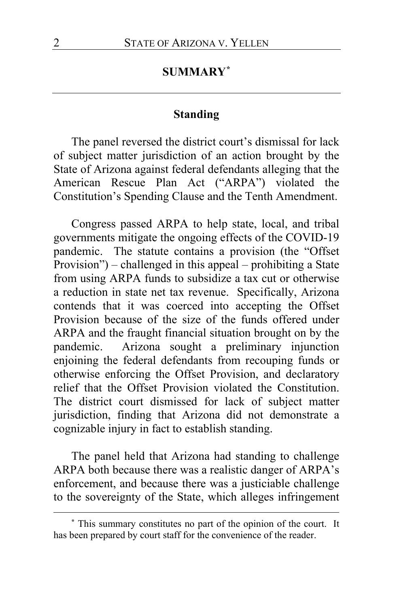## **SUMMARY[\\*](#page-1-0)**

## **Standing**

The panel reversed the district court's dismissal for lack of subject matter jurisdiction of an action brought by the State of Arizona against federal defendants alleging that the American Rescue Plan Act ("ARPA") violated the Constitution's Spending Clause and the Tenth Amendment.

Congress passed ARPA to help state, local, and tribal governments mitigate the ongoing effects of the COVID-19 pandemic. The statute contains a provision (the "Offset Provision") – challenged in this appeal – prohibiting a State from using ARPA funds to subsidize a tax cut or otherwise a reduction in state net tax revenue. Specifically, Arizona contends that it was coerced into accepting the Offset Provision because of the size of the funds offered under ARPA and the fraught financial situation brought on by the pandemic. Arizona sought a preliminary injunction enjoining the federal defendants from recouping funds or otherwise enforcing the Offset Provision, and declaratory relief that the Offset Provision violated the Constitution. The district court dismissed for lack of subject matter jurisdiction, finding that Arizona did not demonstrate a cognizable injury in fact to establish standing.

The panel held that Arizona had standing to challenge ARPA both because there was a realistic danger of ARPA's enforcement, and because there was a justiciable challenge to the sovereignty of the State, which alleges infringement

<span id="page-1-0"></span>**<sup>\*</sup>** This summary constitutes no part of the opinion of the court. It has been prepared by court staff for the convenience of the reader.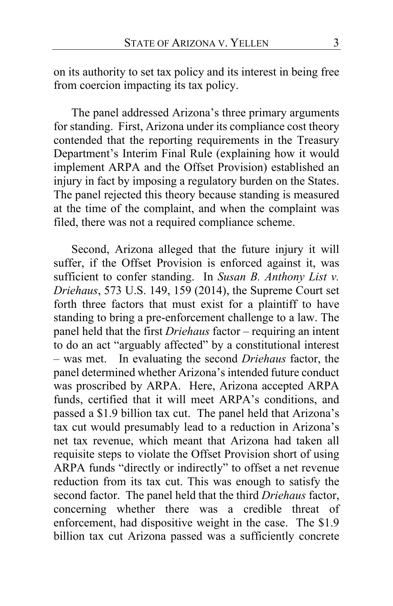on its authority to set tax policy and its interest in being free from coercion impacting its tax policy.

The panel addressed Arizona's three primary arguments for standing. First, Arizona under its compliance cost theory contended that the reporting requirements in the Treasury Department's Interim Final Rule (explaining how it would implement ARPA and the Offset Provision) established an injury in fact by imposing a regulatory burden on the States. The panel rejected this theory because standing is measured at the time of the complaint, and when the complaint was filed, there was not a required compliance scheme.

Second, Arizona alleged that the future injury it will suffer, if the Offset Provision is enforced against it, was sufficient to confer standing. In *Susan B. Anthony List v. Driehaus*, 573 U.S. 149, 159 (2014), the Supreme Court set forth three factors that must exist for a plaintiff to have standing to bring a pre-enforcement challenge to a law. The panel held that the first *Driehaus* factor – requiring an intent to do an act "arguably affected" by a constitutional interest – was met. In evaluating the second *Driehaus* factor, the panel determined whether Arizona's intended future conduct was proscribed by ARPA. Here, Arizona accepted ARPA funds, certified that it will meet ARPA's conditions, and passed a \$1.9 billion tax cut. The panel held that Arizona's tax cut would presumably lead to a reduction in Arizona's net tax revenue, which meant that Arizona had taken all requisite steps to violate the Offset Provision short of using ARPA funds "directly or indirectly" to offset a net revenue reduction from its tax cut. This was enough to satisfy the second factor. The panel held that the third *Driehaus* factor, concerning whether there was a credible threat of enforcement, had dispositive weight in the case. The \$1.9 billion tax cut Arizona passed was a sufficiently concrete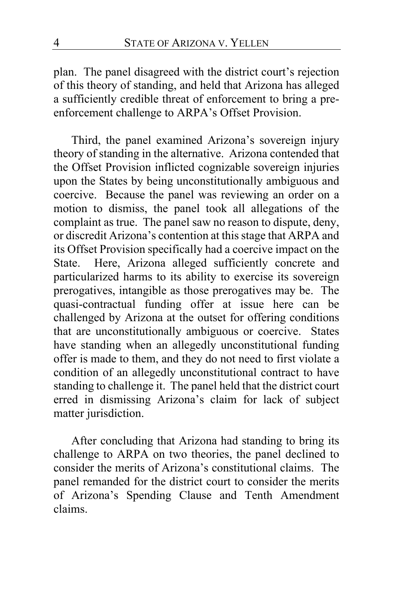plan. The panel disagreed with the district court's rejection of this theory of standing, and held that Arizona has alleged a sufficiently credible threat of enforcement to bring a preenforcement challenge to ARPA's Offset Provision.

Third, the panel examined Arizona's sovereign injury theory of standing in the alternative. Arizona contended that the Offset Provision inflicted cognizable sovereign injuries upon the States by being unconstitutionally ambiguous and coercive. Because the panel was reviewing an order on a motion to dismiss, the panel took all allegations of the complaint as true. The panel saw no reason to dispute, deny, or discredit Arizona's contention at this stage that ARPA and its Offset Provision specifically had a coercive impact on the State. Here, Arizona alleged sufficiently concrete and particularized harms to its ability to exercise its sovereign prerogatives, intangible as those prerogatives may be. The quasi-contractual funding offer at issue here can be challenged by Arizona at the outset for offering conditions that are unconstitutionally ambiguous or coercive. States have standing when an allegedly unconstitutional funding offer is made to them, and they do not need to first violate a condition of an allegedly unconstitutional contract to have standing to challenge it. The panel held that the district court erred in dismissing Arizona's claim for lack of subject matter jurisdiction.

After concluding that Arizona had standing to bring its challenge to ARPA on two theories, the panel declined to consider the merits of Arizona's constitutional claims. The panel remanded for the district court to consider the merits of Arizona's Spending Clause and Tenth Amendment claims.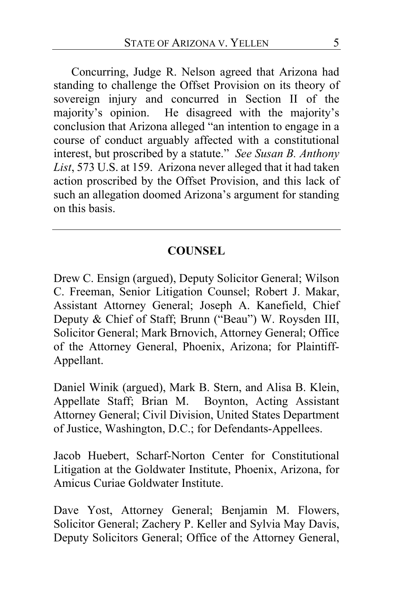Concurring, Judge R. Nelson agreed that Arizona had standing to challenge the Offset Provision on its theory of sovereign injury and concurred in Section II of the majority's opinion. He disagreed with the majority's conclusion that Arizona alleged "an intention to engage in a course of conduct arguably affected with a constitutional interest, but proscribed by a statute." *See Susan B. Anthony List*, 573 U.S. at 159. Arizona never alleged that it had taken action proscribed by the Offset Provision, and this lack of such an allegation doomed Arizona's argument for standing on this basis.

## **COUNSEL**

Drew C. Ensign (argued), Deputy Solicitor General; Wilson C. Freeman, Senior Litigation Counsel; Robert J. Makar, Assistant Attorney General; Joseph A. Kanefield, Chief Deputy & Chief of Staff; Brunn ("Beau") W. Roysden III, Solicitor General; Mark Brnovich, Attorney General; Office of the Attorney General, Phoenix, Arizona; for Plaintiff-Appellant.

Daniel Winik (argued), Mark B. Stern, and Alisa B. Klein, Appellate Staff; Brian M. Boynton, Acting Assistant Attorney General; Civil Division, United States Department of Justice, Washington, D.C.; for Defendants-Appellees.

Jacob Huebert, Scharf-Norton Center for Constitutional Litigation at the Goldwater Institute, Phoenix, Arizona, for Amicus Curiae Goldwater Institute.

Dave Yost, Attorney General; Benjamin M. Flowers, Solicitor General; Zachery P. Keller and Sylvia May Davis, Deputy Solicitors General; Office of the Attorney General,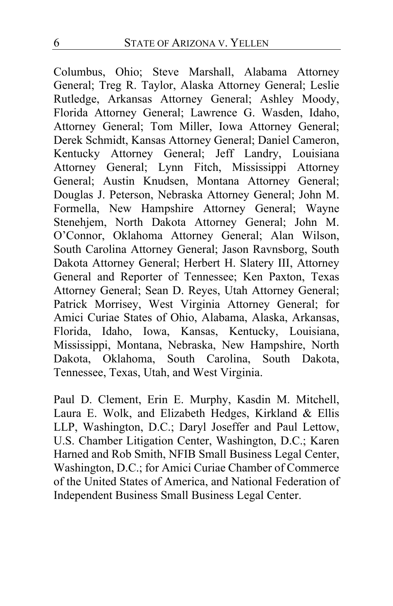Columbus, Ohio; Steve Marshall, Alabama Attorney General; Treg R. Taylor, Alaska Attorney General; Leslie Rutledge, Arkansas Attorney General; Ashley Moody, Florida Attorney General; Lawrence G. Wasden, Idaho, Attorney General; Tom Miller, Iowa Attorney General; Derek Schmidt, Kansas Attorney General; Daniel Cameron, Kentucky Attorney General; Jeff Landry, Louisiana Attorney General; Lynn Fitch, Mississippi Attorney General; Austin Knudsen, Montana Attorney General; Douglas J. Peterson, Nebraska Attorney General; John M. Formella, New Hampshire Attorney General; Wayne Stenehjem, North Dakota Attorney General; John M. O'Connor, Oklahoma Attorney General; Alan Wilson, South Carolina Attorney General; Jason Ravnsborg, South Dakota Attorney General; Herbert H. Slatery III, Attorney General and Reporter of Tennessee; Ken Paxton, Texas Attorney General; Sean D. Reyes, Utah Attorney General; Patrick Morrisey, West Virginia Attorney General; for Amici Curiae States of Ohio, Alabama, Alaska, Arkansas, Florida, Idaho, Iowa, Kansas, Kentucky, Louisiana, Mississippi, Montana, Nebraska, New Hampshire, North Dakota, Oklahoma, South Carolina, South Dakota, Tennessee, Texas, Utah, and West Virginia.

Paul D. Clement, Erin E. Murphy, Kasdin M. Mitchell, Laura E. Wolk, and Elizabeth Hedges, Kirkland & Ellis LLP, Washington, D.C.; Daryl Joseffer and Paul Lettow, U.S. Chamber Litigation Center, Washington, D.C.; Karen Harned and Rob Smith, NFIB Small Business Legal Center, Washington, D.C.; for Amici Curiae Chamber of Commerce of the United States of America, and National Federation of Independent Business Small Business Legal Center.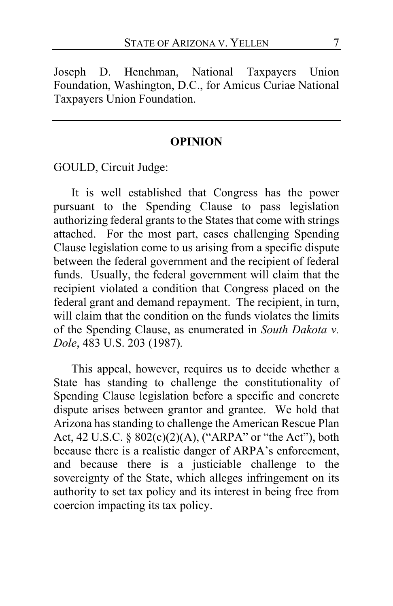Joseph D. Henchman, National Taxpayers Union Foundation, Washington, D.C., for Amicus Curiae National Taxpayers Union Foundation.

## **OPINION**

GOULD, Circuit Judge:

It is well established that Congress has the power pursuant to the Spending Clause to pass legislation authorizing federal grants to the States that come with strings attached. For the most part, cases challenging Spending Clause legislation come to us arising from a specific dispute between the federal government and the recipient of federal funds. Usually, the federal government will claim that the recipient violated a condition that Congress placed on the federal grant and demand repayment. The recipient, in turn, will claim that the condition on the funds violates the limits of the Spending Clause, as enumerated in *South Dakota v. Dole*, 483 U.S. 203 (1987)*.*

This appeal, however, requires us to decide whether a State has standing to challenge the constitutionality of Spending Clause legislation before a specific and concrete dispute arises between grantor and grantee. We hold that Arizona has standing to challenge the American Rescue Plan Act, 42 U.S.C. § 802(c)(2)(A), ("ARPA" or "the Act"), both because there is a realistic danger of ARPA's enforcement, and because there is a justiciable challenge to the sovereignty of the State, which alleges infringement on its authority to set tax policy and its interest in being free from coercion impacting its tax policy.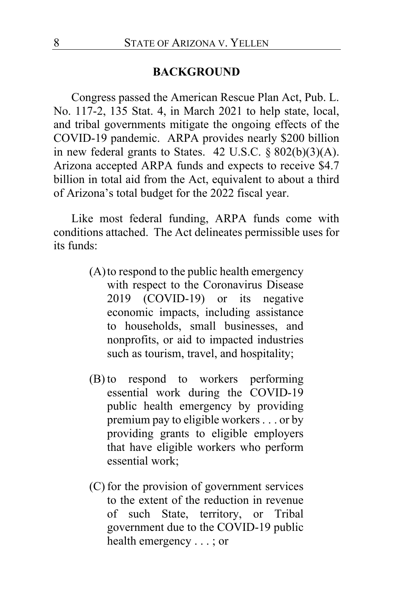#### **BACKGROUND**

Congress passed the American Rescue Plan Act, Pub. L. No. 117-2, 135 Stat. 4, in March 2021 to help state, local, and tribal governments mitigate the ongoing effects of the COVID-19 pandemic. ARPA provides nearly \$200 billion in new federal grants to States.  $42$  U.S.C.  $\S 802(b)(3)(A)$ . Arizona accepted ARPA funds and expects to receive \$4.7 billion in total aid from the Act, equivalent to about a third of Arizona's total budget for the 2022 fiscal year.

Like most federal funding, ARPA funds come with conditions attached. The Act delineates permissible uses for its funds:

- (A)to respond to the public health emergency with respect to the Coronavirus Disease 2019 (COVID-19) or its negative economic impacts, including assistance to households, small businesses, and nonprofits, or aid to impacted industries such as tourism, travel, and hospitality;
- (B) to respond to workers performing essential work during the COVID-19 public health emergency by providing premium pay to eligible workers . . . or by providing grants to eligible employers that have eligible workers who perform essential work;
- (C) for the provision of government services to the extent of the reduction in revenue of such State, territory, or Tribal government due to the COVID-19 public health emergency . . . ; or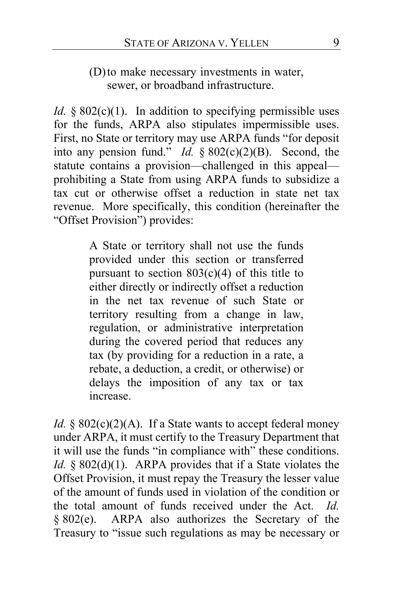(D)to make necessary investments in water, sewer, or broadband infrastructure.

*Id.* § 802(c)(1). In addition to specifying permissible uses for the funds, ARPA also stipulates impermissible uses. First, no State or territory may use ARPA funds "for deposit into any pension fund." *Id.* § 802(c)(2)(B). Second, the statute contains a provision—challenged in this appeal prohibiting a State from using ARPA funds to subsidize a tax cut or otherwise offset a reduction in state net tax revenue. More specifically, this condition (hereinafter the "Offset Provision") provides:

> A State or territory shall not use the funds provided under this section or transferred pursuant to section  $803(c)(4)$  of this title to either directly or indirectly offset a reduction in the net tax revenue of such State or territory resulting from a change in law, regulation, or administrative interpretation during the covered period that reduces any tax (by providing for a reduction in a rate, a rebate, a deduction, a credit, or otherwise) or delays the imposition of any tax or tax increase.

*Id.* § 802(c)(2)(A). If a State wants to accept federal money under ARPA, it must certify to the Treasury Department that it will use the funds "in compliance with" these conditions. *Id.* § 802(d)(1). ARPA provides that if a State violates the Offset Provision, it must repay the Treasury the lesser value of the amount of funds used in violation of the condition or the total amount of funds received under the Act. *Id.*  § 802(e). ARPA also authorizes the Secretary of the Treasury to "issue such regulations as may be necessary or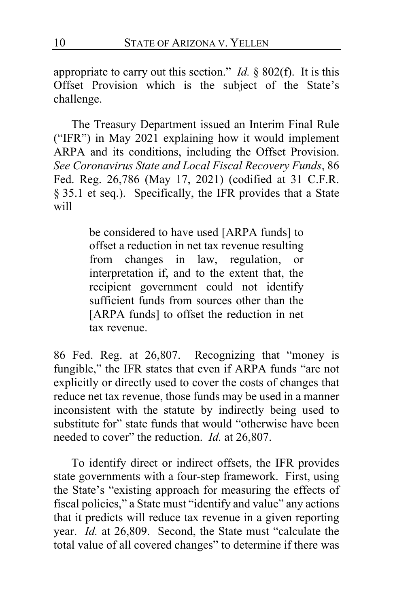appropriate to carry out this section." *Id.* § 802(f). It is this Offset Provision which is the subject of the State's challenge.

The Treasury Department issued an Interim Final Rule ("IFR") in May 2021 explaining how it would implement ARPA and its conditions, including the Offset Provision. *See Coronavirus State and Local Fiscal Recovery Funds*, 86 Fed. Reg. 26,786 (May 17, 2021) (codified at 31 C.F.R. § 35.1 et seq.). Specifically, the IFR provides that a State will

> be considered to have used [ARPA funds] to offset a reduction in net tax revenue resulting from changes in law, regulation, or interpretation if, and to the extent that, the recipient government could not identify sufficient funds from sources other than the [ARPA funds] to offset the reduction in net tax revenue.

86 Fed. Reg. at 26,807. Recognizing that "money is fungible," the IFR states that even if ARPA funds "are not explicitly or directly used to cover the costs of changes that reduce net tax revenue, those funds may be used in a manner inconsistent with the statute by indirectly being used to substitute for" state funds that would "otherwise have been needed to cover" the reduction. *Id.* at 26,807.

To identify direct or indirect offsets, the IFR provides state governments with a four-step framework. First, using the State's "existing approach for measuring the effects of fiscal policies," a State must "identify and value" any actions that it predicts will reduce tax revenue in a given reporting year. *Id.* at 26,809. Second, the State must "calculate the total value of all covered changes" to determine if there was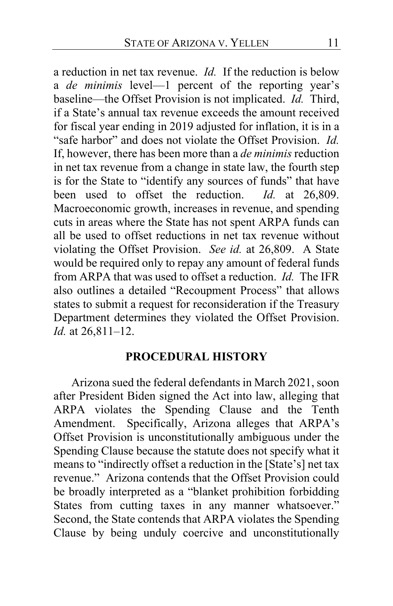a reduction in net tax revenue. *Id.* If the reduction is below a *de minimis* level—1 percent of the reporting year's baseline—the Offset Provision is not implicated. *Id.* Third, if a State's annual tax revenue exceeds the amount received for fiscal year ending in 2019 adjusted for inflation, it is in a "safe harbor" and does not violate the Offset Provision. *Id.* If, however, there has been more than a *de minimis* reduction in net tax revenue from a change in state law, the fourth step is for the State to "identify any sources of funds" that have been used to offset the reduction. *Id.* at 26,809. Macroeconomic growth, increases in revenue, and spending cuts in areas where the State has not spent ARPA funds can all be used to offset reductions in net tax revenue without violating the Offset Provision. *See id.* at 26,809. A State would be required only to repay any amount of federal funds from ARPA that was used to offset a reduction. *Id.* The IFR also outlines a detailed "Recoupment Process" that allows states to submit a request for reconsideration if the Treasury Department determines they violated the Offset Provision. *Id.* at 26,811–12.

## **PROCEDURAL HISTORY**

Arizona sued the federal defendants in March 2021, soon after President Biden signed the Act into law, alleging that ARPA violates the Spending Clause and the Tenth Amendment. Specifically, Arizona alleges that ARPA's Offset Provision is unconstitutionally ambiguous under the Spending Clause because the statute does not specify what it means to "indirectly offset a reduction in the [State's] net tax revenue." Arizona contends that the Offset Provision could be broadly interpreted as a "blanket prohibition forbidding States from cutting taxes in any manner whatsoever." Second, the State contends that ARPA violates the Spending Clause by being unduly coercive and unconstitutionally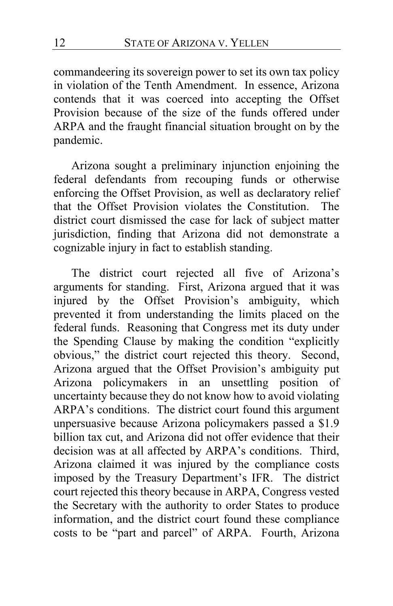commandeering its sovereign power to set its own tax policy in violation of the Tenth Amendment. In essence, Arizona contends that it was coerced into accepting the Offset Provision because of the size of the funds offered under ARPA and the fraught financial situation brought on by the pandemic.

Arizona sought a preliminary injunction enjoining the federal defendants from recouping funds or otherwise enforcing the Offset Provision, as well as declaratory relief that the Offset Provision violates the Constitution. The district court dismissed the case for lack of subject matter jurisdiction, finding that Arizona did not demonstrate a cognizable injury in fact to establish standing.

The district court rejected all five of Arizona's arguments for standing. First, Arizona argued that it was injured by the Offset Provision's ambiguity, which prevented it from understanding the limits placed on the federal funds. Reasoning that Congress met its duty under the Spending Clause by making the condition "explicitly obvious," the district court rejected this theory. Second, Arizona argued that the Offset Provision's ambiguity put Arizona policymakers in an unsettling position of uncertainty because they do not know how to avoid violating ARPA's conditions. The district court found this argument unpersuasive because Arizona policymakers passed a \$1.9 billion tax cut, and Arizona did not offer evidence that their decision was at all affected by ARPA's conditions. Third, Arizona claimed it was injured by the compliance costs imposed by the Treasury Department's IFR. The district court rejected this theory because in ARPA, Congress vested the Secretary with the authority to order States to produce information, and the district court found these compliance costs to be "part and parcel" of ARPA. Fourth, Arizona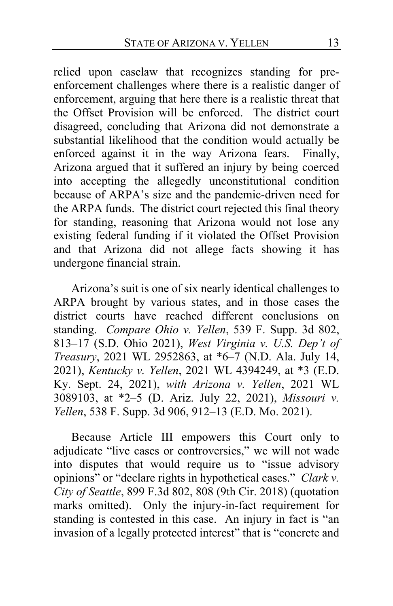relied upon caselaw that recognizes standing for preenforcement challenges where there is a realistic danger of enforcement, arguing that here there is a realistic threat that the Offset Provision will be enforced. The district court disagreed, concluding that Arizona did not demonstrate a substantial likelihood that the condition would actually be enforced against it in the way Arizona fears. Finally, Arizona argued that it suffered an injury by being coerced into accepting the allegedly unconstitutional condition because of ARPA's size and the pandemic-driven need for the ARPA funds. The district court rejected this final theory for standing, reasoning that Arizona would not lose any existing federal funding if it violated the Offset Provision and that Arizona did not allege facts showing it has undergone financial strain.

Arizona's suit is one of six nearly identical challenges to ARPA brought by various states, and in those cases the district courts have reached different conclusions on standing. *Compare Ohio v. Yellen*, 539 F. Supp. 3d 802, 813–17 (S.D. Ohio 2021), *West Virginia v. U.S. Dep't of Treasury*, 2021 WL 2952863, at \*6–7 (N.D. Ala. July 14, 2021), *Kentucky v. Yellen*, 2021 WL 4394249, at \*3 (E.D. Ky. Sept. 24, 2021), *with Arizona v. Yellen*, 2021 WL 3089103, at \*2–5 (D. Ariz. July 22, 2021), *Missouri v. Yellen*, 538 F. Supp. 3d 906, 912–13 (E.D. Mo. 2021).

Because Article III empowers this Court only to adjudicate "live cases or controversies," we will not wade into disputes that would require us to "issue advisory opinions" or "declare rights in hypothetical cases." *Clark v. City of Seattle*, 899 F.3d 802, 808 (9th Cir. 2018) (quotation marks omitted). Only the injury-in-fact requirement for standing is contested in this case. An injury in fact is "an invasion of a legally protected interest" that is "concrete and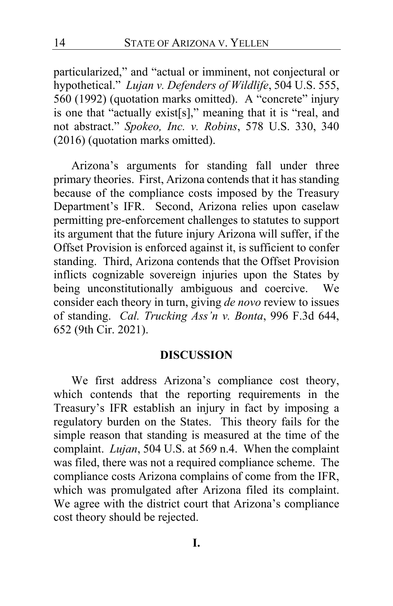particularized," and "actual or imminent, not conjectural or hypothetical." *Lujan v. Defenders of Wildlife*, 504 U.S. 555, 560 (1992) (quotation marks omitted). A "concrete" injury is one that "actually exist[s]," meaning that it is "real, and not abstract." *Spokeo, Inc. v. Robins*, 578 U.S. 330, 340 (2016) (quotation marks omitted).

Arizona's arguments for standing fall under three primary theories. First, Arizona contends that it has standing because of the compliance costs imposed by the Treasury Department's IFR. Second, Arizona relies upon caselaw permitting pre-enforcement challenges to statutes to support its argument that the future injury Arizona will suffer, if the Offset Provision is enforced against it, is sufficient to confer standing. Third, Arizona contends that the Offset Provision inflicts cognizable sovereign injuries upon the States by being unconstitutionally ambiguous and coercive. We consider each theory in turn, giving *de novo* review to issues of standing. *Cal. Trucking Ass'n v. Bonta*, 996 F.3d 644, 652 (9th Cir. 2021).

## **DISCUSSION**

We first address Arizona's compliance cost theory, which contends that the reporting requirements in the Treasury's IFR establish an injury in fact by imposing a regulatory burden on the States. This theory fails for the simple reason that standing is measured at the time of the complaint. *Lujan*, 504 U.S. at 569 n.4. When the complaint was filed, there was not a required compliance scheme. The compliance costs Arizona complains of come from the IFR, which was promulgated after Arizona filed its complaint. We agree with the district court that Arizona's compliance cost theory should be rejected.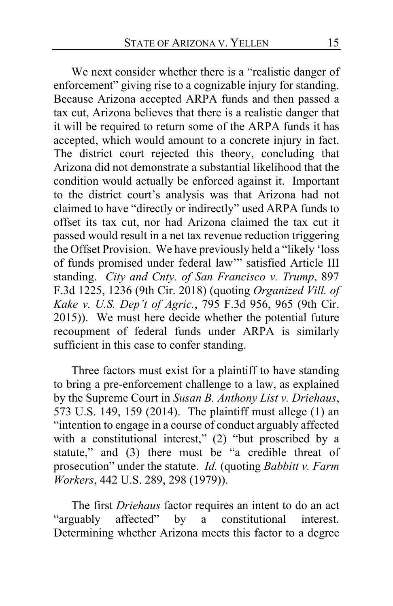We next consider whether there is a "realistic danger of enforcement" giving rise to a cognizable injury for standing. Because Arizona accepted ARPA funds and then passed a tax cut, Arizona believes that there is a realistic danger that it will be required to return some of the ARPA funds it has accepted, which would amount to a concrete injury in fact. The district court rejected this theory, concluding that Arizona did not demonstrate a substantial likelihood that the condition would actually be enforced against it. Important to the district court's analysis was that Arizona had not claimed to have "directly or indirectly" used ARPA funds to offset its tax cut, nor had Arizona claimed the tax cut it passed would result in a net tax revenue reduction triggering the Offset Provision. We have previously held a "likely 'loss of funds promised under federal law'" satisfied Article III standing. *City and Cnty. of San Francisco v. Trump*, 897 F.3d 1225, 1236 (9th Cir. 2018) (quoting *Organized Vill. of Kake v. U.S. Dep't of Agric.*, 795 F.3d 956, 965 (9th Cir. 2015)). We must here decide whether the potential future recoupment of federal funds under ARPA is similarly sufficient in this case to confer standing.

Three factors must exist for a plaintiff to have standing to bring a pre-enforcement challenge to a law, as explained by the Supreme Court in *Susan B. Anthony List v. Driehaus*, 573 U.S. 149, 159 (2014). The plaintiff must allege (1) an "intention to engage in a course of conduct arguably affected with a constitutional interest," (2) "but proscribed by a statute," and (3) there must be "a credible threat of prosecution" under the statute. *Id.* (quoting *Babbitt v. Farm Workers*, 442 U.S. 289, 298 (1979)).

The first *Driehaus* factor requires an intent to do an act<br>
"arguably affected" by a constitutional interest. by a constitutional interest. Determining whether Arizona meets this factor to a degree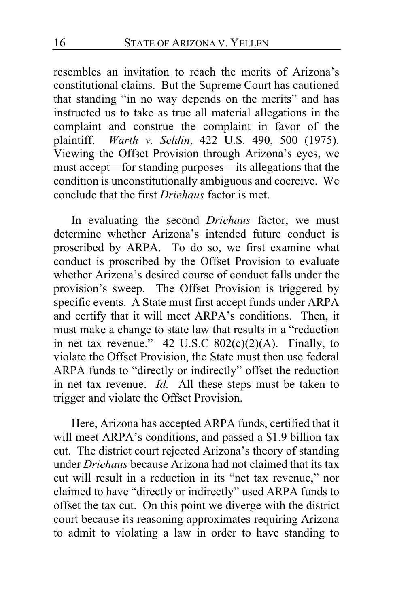resembles an invitation to reach the merits of Arizona's constitutional claims. But the Supreme Court has cautioned that standing "in no way depends on the merits" and has instructed us to take as true all material allegations in the complaint and construe the complaint in favor of the plaintiff. *Warth v. Seldin*, 422 U.S. 490, 500 (1975). Viewing the Offset Provision through Arizona's eyes, we must accept—for standing purposes—its allegations that the condition is unconstitutionally ambiguous and coercive. We conclude that the first *Driehaus* factor is met.

In evaluating the second *Driehaus* factor, we must determine whether Arizona's intended future conduct is proscribed by ARPA. To do so, we first examine what conduct is proscribed by the Offset Provision to evaluate whether Arizona's desired course of conduct falls under the provision's sweep. The Offset Provision is triggered by specific events. A State must first accept funds under ARPA and certify that it will meet ARPA's conditions. Then, it must make a change to state law that results in a "reduction in net tax revenue."  $42 \text{ U.S.C } 802(c)(2)(\text{A})$ . Finally, to violate the Offset Provision, the State must then use federal ARPA funds to "directly or indirectly" offset the reduction in net tax revenue. *Id.* All these steps must be taken to trigger and violate the Offset Provision.

Here, Arizona has accepted ARPA funds, certified that it will meet ARPA's conditions, and passed a \$1.9 billion tax cut. The district court rejected Arizona's theory of standing under *Driehaus* because Arizona had not claimed that its tax cut will result in a reduction in its "net tax revenue," nor claimed to have "directly or indirectly" used ARPA funds to offset the tax cut. On this point we diverge with the district court because its reasoning approximates requiring Arizona to admit to violating a law in order to have standing to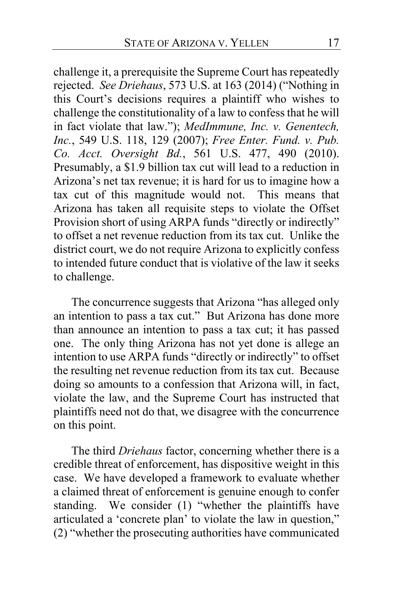challenge it, a prerequisite the Supreme Court has repeatedly rejected. *See Driehaus*, 573 U.S. at 163 (2014) ("Nothing in this Court's decisions requires a plaintiff who wishes to challenge the constitutionality of a law to confess that he will in fact violate that law."); *MedImmune, Inc. v. Genentech, Inc.*, 549 U.S. 118, 129 (2007); *Free Enter. Fund. v. Pub. Co. Acct. Oversight Bd.*, 561 U.S. 477, 490 (2010). Presumably, a \$1.9 billion tax cut will lead to a reduction in Arizona's net tax revenue; it is hard for us to imagine how a tax cut of this magnitude would not. This means that Arizona has taken all requisite steps to violate the Offset Provision short of using ARPA funds "directly or indirectly" to offset a net revenue reduction from its tax cut. Unlike the district court, we do not require Arizona to explicitly confess to intended future conduct that is violative of the law it seeks to challenge.

The concurrence suggests that Arizona "has alleged only an intention to pass a tax cut." But Arizona has done more than announce an intention to pass a tax cut; it has passed one. The only thing Arizona has not yet done is allege an intention to use ARPA funds "directly or indirectly" to offset the resulting net revenue reduction from its tax cut. Because doing so amounts to a confession that Arizona will, in fact, violate the law, and the Supreme Court has instructed that plaintiffs need not do that, we disagree with the concurrence on this point.

The third *Driehaus* factor, concerning whether there is a credible threat of enforcement, has dispositive weight in this case. We have developed a framework to evaluate whether a claimed threat of enforcement is genuine enough to confer standing. We consider (1) "whether the plaintiffs have articulated a 'concrete plan' to violate the law in question," (2) "whether the prosecuting authorities have communicated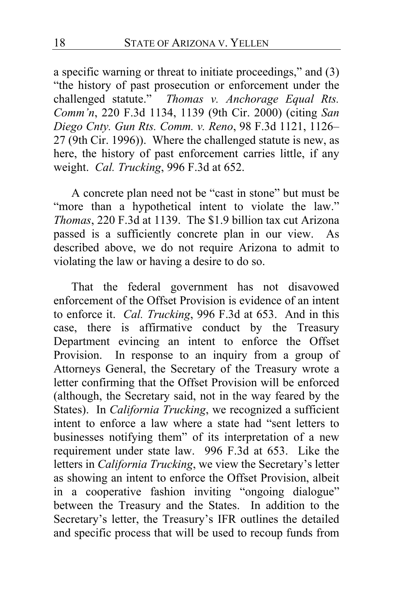a specific warning or threat to initiate proceedings," and (3) "the history of past prosecution or enforcement under the challenged statute." *Thomas v. Anchorage Equal Rts. Comm'n*, 220 F.3d 1134, 1139 (9th Cir. 2000) (citing *San Diego Cnty. Gun Rts. Comm. v. Reno*, 98 F.3d 1121, 1126– 27 (9th Cir. 1996)). Where the challenged statute is new, as here, the history of past enforcement carries little, if any weight. *Cal. Trucking*, 996 F.3d at 652.

A concrete plan need not be "cast in stone" but must be "more than a hypothetical intent to violate the law." *Thomas*, 220 F.3d at 1139. The \$1.9 billion tax cut Arizona passed is a sufficiently concrete plan in our view. As described above, we do not require Arizona to admit to violating the law or having a desire to do so.

That the federal government has not disavowed enforcement of the Offset Provision is evidence of an intent to enforce it. *Cal. Trucking*, 996 F.3d at 653. And in this case, there is affirmative conduct by the Treasury Department evincing an intent to enforce the Offset Provision. In response to an inquiry from a group of Attorneys General, the Secretary of the Treasury wrote a letter confirming that the Offset Provision will be enforced (although, the Secretary said, not in the way feared by the States). In *California Trucking*, we recognized a sufficient intent to enforce a law where a state had "sent letters to businesses notifying them" of its interpretation of a new requirement under state law.996 F.3d at 653. Like the letters in *California Trucking*, we view the Secretary's letter as showing an intent to enforce the Offset Provision, albeit in a cooperative fashion inviting "ongoing dialogue" between the Treasury and the States. In addition to the Secretary's letter, the Treasury's IFR outlines the detailed and specific process that will be used to recoup funds from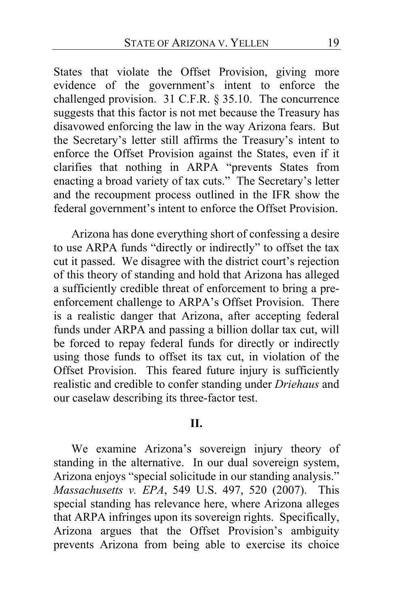States that violate the Offset Provision, giving more evidence of the government's intent to enforce the challenged provision. 31 C.F.R. § 35.10. The concurrence suggests that this factor is not met because the Treasury has disavowed enforcing the law in the way Arizona fears. But the Secretary's letter still affirms the Treasury's intent to enforce the Offset Provision against the States, even if it clarifies that nothing in ARPA "prevents States from enacting a broad variety of tax cuts." The Secretary's letter and the recoupment process outlined in the IFR show the federal government's intent to enforce the Offset Provision.

Arizona has done everything short of confessing a desire to use ARPA funds "directly or indirectly" to offset the tax cut it passed. We disagree with the district court's rejection of this theory of standing and hold that Arizona has alleged a sufficiently credible threat of enforcement to bring a preenforcement challenge to ARPA's Offset Provision. There is a realistic danger that Arizona, after accepting federal funds under ARPA and passing a billion dollar tax cut, will be forced to repay federal funds for directly or indirectly using those funds to offset its tax cut, in violation of the Offset Provision. This feared future injury is sufficiently realistic and credible to confer standing under *Driehaus* and our caselaw describing its three-factor test.

#### **II.**

We examine Arizona's sovereign injury theory of standing in the alternative. In our dual sovereign system, Arizona enjoys "special solicitude in our standing analysis." *Massachusetts v. EPA*, 549 U.S. 497, 520 (2007). This special standing has relevance here, where Arizona alleges that ARPA infringes upon its sovereign rights. Specifically, Arizona argues that the Offset Provision's ambiguity prevents Arizona from being able to exercise its choice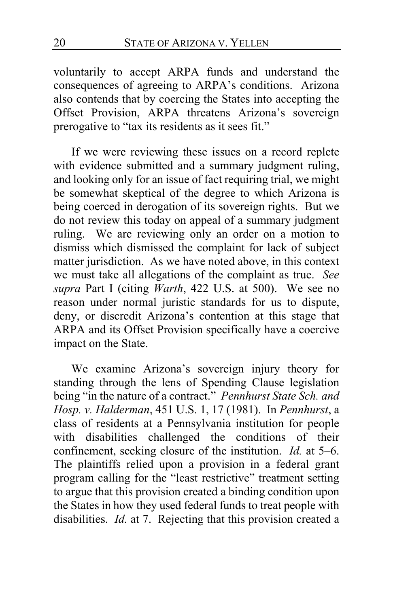voluntarily to accept ARPA funds and understand the consequences of agreeing to ARPA's conditions. Arizona also contends that by coercing the States into accepting the Offset Provision, ARPA threatens Arizona's sovereign prerogative to "tax its residents as it sees fit."

If we were reviewing these issues on a record replete with evidence submitted and a summary judgment ruling, and looking only for an issue of fact requiring trial, we might be somewhat skeptical of the degree to which Arizona is being coerced in derogation of its sovereign rights. But we do not review this today on appeal of a summary judgment ruling. We are reviewing only an order on a motion to dismiss which dismissed the complaint for lack of subject matter jurisdiction. As we have noted above, in this context we must take all allegations of the complaint as true. *See supra* Part I (citing *Warth*, 422 U.S. at 500). We see no reason under normal juristic standards for us to dispute, deny, or discredit Arizona's contention at this stage that ARPA and its Offset Provision specifically have a coercive impact on the State.

We examine Arizona's sovereign injury theory for standing through the lens of Spending Clause legislation being "in the nature of a contract." *Pennhurst State Sch. and Hosp. v. Halderman*, 451 U.S. 1, 17 (1981). In *Pennhurst*, a class of residents at a Pennsylvania institution for people with disabilities challenged the conditions of their confinement, seeking closure of the institution. *Id.* at 5–6. The plaintiffs relied upon a provision in a federal grant program calling for the "least restrictive" treatment setting to argue that this provision created a binding condition upon the States in how they used federal funds to treat people with disabilities. *Id.* at 7. Rejecting that this provision created a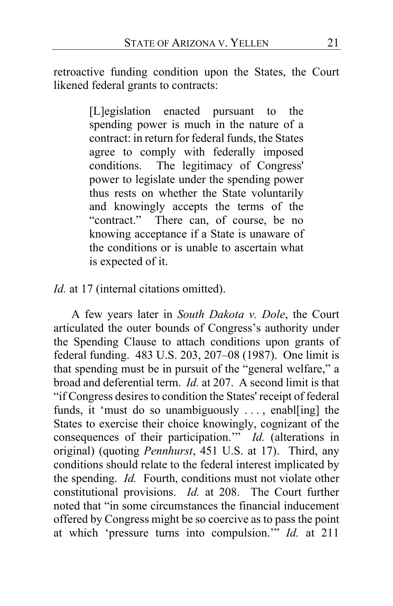retroactive funding condition upon the States, the Court likened federal grants to contracts:

> [L]egislation enacted pursuant to the spending power is much in the nature of a contract: in return for federal funds, the States agree to comply with federally imposed conditions. The legitimacy of Congress' power to legislate under the spending power thus rests on whether the State voluntarily and knowingly accepts the terms of the "contract." There can, of course, be no knowing acceptance if a State is unaware of the conditions or is unable to ascertain what is expected of it.

*Id.* at 17 (internal citations omitted).

A few years later in *South Dakota v. Dole*, the Court articulated the outer bounds of Congress's authority under the Spending Clause to attach conditions upon grants of federal funding. 483 U.S. 203, 207–08 (1987). One limit is that spending must be in pursuit of the "general welfare," a broad and deferential term. *Id.* at 207. A second limit is that "if Congress desires to condition the States' receipt of federal funds, it 'must do so unambiguously . . . , enabl[ing] the States to exercise their choice knowingly, cognizant of the consequences of their participation.'" *Id.* (alterations in original) (quoting *Pennhurst*, 451 U.S. at 17). Third, any conditions should relate to the federal interest implicated by the spending. *Id.* Fourth, conditions must not violate other constitutional provisions. *Id.* at 208. The Court further noted that "in some circumstances the financial inducement offered by Congress might be so coercive as to pass the point at which 'pressure turns into compulsion.'" *Id.* at 211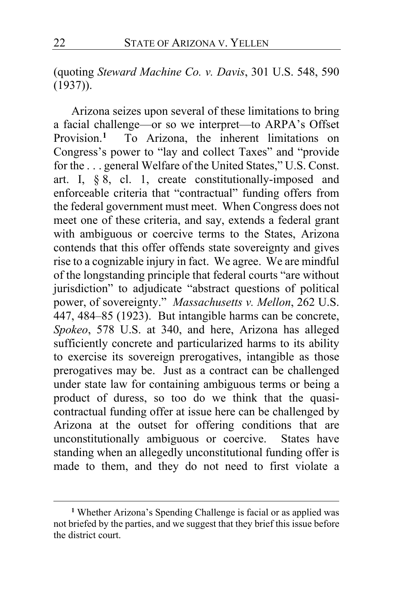(quoting *Steward Machine Co. v. Davis*, 301 U.S. 548, 590 (1937)).

Arizona seizes upon several of these limitations to bring a facial challenge—or so we interpret—to ARPA's Offset Provision.**[1](#page-21-0)** To Arizona, the inherent limitations on Congress's power to "lay and collect Taxes" and "provide for the . . . general Welfare of the United States," U.S. Const. art. I,  $\S$   $\S$ , cl. 1, create constitutionally-imposed and enforceable criteria that "contractual" funding offers from the federal government must meet. When Congress does not meet one of these criteria, and say, extends a federal grant with ambiguous or coercive terms to the States, Arizona contends that this offer offends state sovereignty and gives rise to a cognizable injury in fact. We agree. We are mindful of the longstanding principle that federal courts "are without jurisdiction" to adjudicate "abstract questions of political power, of sovereignty." *Massachusetts v. Mellon*, 262 U.S. 447, 484–85 (1923). But intangible harms can be concrete, *Spokeo*, 578 U.S. at 340, and here, Arizona has alleged sufficiently concrete and particularized harms to its ability to exercise its sovereign prerogatives, intangible as those prerogatives may be. Just as a contract can be challenged under state law for containing ambiguous terms or being a product of duress, so too do we think that the quasicontractual funding offer at issue here can be challenged by Arizona at the outset for offering conditions that are unconstitutionally ambiguous or coercive. States have standing when an allegedly unconstitutional funding offer is made to them, and they do not need to first violate a

<span id="page-21-0"></span>**<sup>1</sup>** Whether Arizona's Spending Challenge is facial or as applied was not briefed by the parties, and we suggest that they brief this issue before the district court.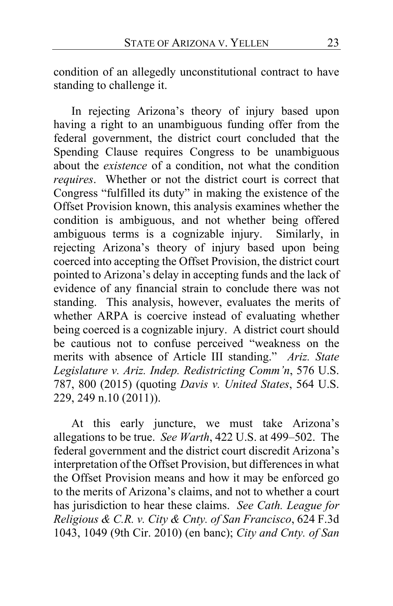condition of an allegedly unconstitutional contract to have standing to challenge it.

In rejecting Arizona's theory of injury based upon having a right to an unambiguous funding offer from the federal government, the district court concluded that the Spending Clause requires Congress to be unambiguous about the *existence* of a condition, not what the condition *requires*. Whether or not the district court is correct that Congress "fulfilled its duty" in making the existence of the Offset Provision known, this analysis examines whether the condition is ambiguous, and not whether being offered ambiguous terms is a cognizable injury. Similarly, in rejecting Arizona's theory of injury based upon being coerced into accepting the Offset Provision, the district court pointed to Arizona's delay in accepting funds and the lack of evidence of any financial strain to conclude there was not standing. This analysis, however, evaluates the merits of whether ARPA is coercive instead of evaluating whether being coerced is a cognizable injury. A district court should be cautious not to confuse perceived "weakness on the merits with absence of Article III standing." *Ariz. State Legislature v. Ariz. Indep. Redistricting Comm'n*, 576 U.S. 787, 800 (2015) (quoting *Davis v. United States*, 564 U.S. 229, 249 n.10 (2011)).

At this early juncture, we must take Arizona's allegations to be true. *See Warth*, 422 U.S. at 499–502. The federal government and the district court discredit Arizona's interpretation of the Offset Provision, but differences in what the Offset Provision means and how it may be enforced go to the merits of Arizona's claims, and not to whether a court has jurisdiction to hear these claims. *See Cath. League for Religious & C.R. v. City & Cnty. of San Francisco*, 624 F.3d 1043, 1049 (9th Cir. 2010) (en banc); *City and Cnty. of San*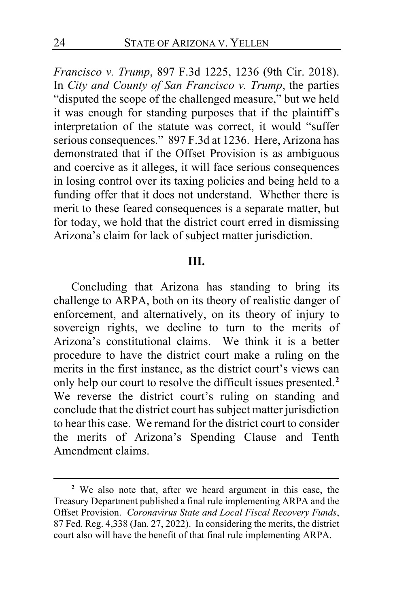*Francisco v. Trump*, 897 F.3d 1225, 1236 (9th Cir. 2018). In *City and County of San Francisco v. Trump*, the parties "disputed the scope of the challenged measure," but we held it was enough for standing purposes that if the plaintiff's interpretation of the statute was correct, it would "suffer serious consequences." 897 F.3d at 1236. Here, Arizona has demonstrated that if the Offset Provision is as ambiguous and coercive as it alleges, it will face serious consequences in losing control over its taxing policies and being held to a funding offer that it does not understand. Whether there is merit to these feared consequences is a separate matter, but for today, we hold that the district court erred in dismissing Arizona's claim for lack of subject matter jurisdiction.

#### **III.**

Concluding that Arizona has standing to bring its challenge to ARPA, both on its theory of realistic danger of enforcement, and alternatively, on its theory of injury to sovereign rights, we decline to turn to the merits of Arizona's constitutional claims. We think it is a better procedure to have the district court make a ruling on the merits in the first instance, as the district court's views can only help our court to resolve the difficult issues presented.**[2](#page-23-0)** We reverse the district court's ruling on standing and conclude that the district court has subject matter jurisdiction to hear this case. We remand for the district court to consider the merits of Arizona's Spending Clause and Tenth Amendment claims.

<span id="page-23-0"></span>**<sup>2</sup>** We also note that, after we heard argument in this case, the Treasury Department published a final rule implementing ARPA and the Offset Provision. *Coronavirus State and Local Fiscal Recovery Funds*, 87 Fed. Reg. 4,338 (Jan. 27, 2022). In considering the merits, the district court also will have the benefit of that final rule implementing ARPA.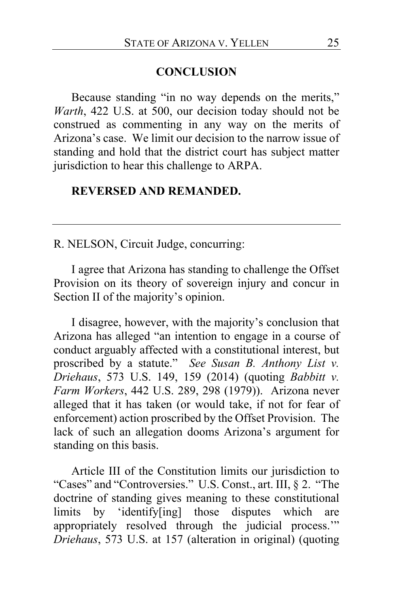#### **CONCLUSION**

Because standing "in no way depends on the merits," *Warth*, 422 U.S. at 500, our decision today should not be construed as commenting in any way on the merits of Arizona's case. We limit our decision to the narrow issue of standing and hold that the district court has subject matter jurisdiction to hear this challenge to ARPA.

## **REVERSED AND REMANDED.**

R. NELSON, Circuit Judge, concurring:

I agree that Arizona has standing to challenge the Offset Provision on its theory of sovereign injury and concur in Section II of the majority's opinion.

I disagree, however, with the majority's conclusion that Arizona has alleged "an intention to engage in a course of conduct arguably affected with a constitutional interest, but proscribed by a statute." *See Susan B. Anthony List v. Driehaus*, 573 U.S. 149, 159 (2014) (quoting *Babbitt v. Farm Workers*, 442 U.S. 289, 298 (1979)). Arizona never alleged that it has taken (or would take, if not for fear of enforcement) action proscribed by the Offset Provision. The lack of such an allegation dooms Arizona's argument for standing on this basis.

Article III of the Constitution limits our jurisdiction to "Cases" and "Controversies." U.S. Const., art. III, § 2. "The doctrine of standing gives meaning to these constitutional limits by 'identify[ing] those disputes which are appropriately resolved through the judicial process.'" *Driehaus*, 573 U.S. at 157 (alteration in original) (quoting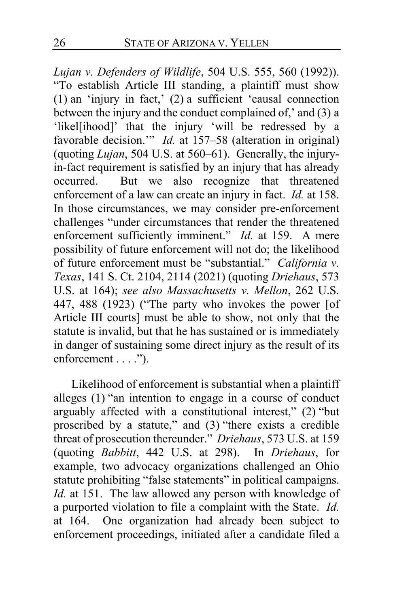*Lujan v. Defenders of Wildlife*, 504 U.S. 555, 560 (1992)). "To establish Article III standing, a plaintiff must show (1) an 'injury in fact,' (2) a sufficient 'causal connection between the injury and the conduct complained of,' and (3) a 'likel[ihood]' that the injury 'will be redressed by a favorable decision." *Id.* at 157–58 (alteration in original) (quoting *Lujan*, 504 U.S. at 560–61). Generally, the injuryin-fact requirement is satisfied by an injury that has already occurred. But we also recognize that threatened enforcement of a law can create an injury in fact. *Id.* at 158. In those circumstances, we may consider pre-enforcement challenges "under circumstances that render the threatened enforcement sufficiently imminent." *Id.* at 159. A mere possibility of future enforcement will not do; the likelihood of future enforcement must be "substantial." *California v. Texas*, 141 S. Ct. 2104, 2114 (2021) (quoting *Driehaus*, 573 U.S. at 164); *see also Massachusetts v. Mellon*, 262 U.S. 447, 488 (1923) ("The party who invokes the power [of Article III courts] must be able to show, not only that the statute is invalid, but that he has sustained or is immediately in danger of sustaining some direct injury as the result of its enforcement . . . .").

Likelihood of enforcement is substantial when a plaintiff alleges (1) "an intention to engage in a course of conduct arguably affected with a constitutional interest," (2) "but proscribed by a statute," and (3) "there exists a credible threat of prosecution thereunder." *Driehaus*, 573 U.S. at 159 (quoting *Babbitt*, 442 U.S. at 298). In *Driehaus*, for example, two advocacy organizations challenged an Ohio statute prohibiting "false statements" in political campaigns. *Id.* at 151. The law allowed any person with knowledge of a purported violation to file a complaint with the State. *Id.* at 164. One organization had already been subject to enforcement proceedings, initiated after a candidate filed a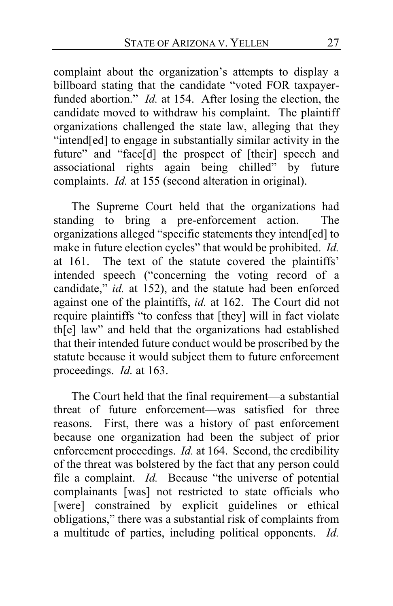complaint about the organization's attempts to display a billboard stating that the candidate "voted FOR taxpayerfunded abortion." *Id.* at 154. After losing the election, the candidate moved to withdraw his complaint. The plaintiff organizations challenged the state law, alleging that they "intend[ed] to engage in substantially similar activity in the future" and "face[d] the prospect of [their] speech and associational rights again being chilled" by future complaints. *Id.* at 155 (second alteration in original).

The Supreme Court held that the organizations had standing to bring a pre-enforcement action. The organizations alleged "specific statements they intend[ed] to make in future election cycles" that would be prohibited. *Id.* at 161. The text of the statute covered the plaintiffs' intended speech ("concerning the voting record of a candidate," *id.* at 152), and the statute had been enforced against one of the plaintiffs, *id.* at 162. The Court did not require plaintiffs "to confess that [they] will in fact violate th[e] law" and held that the organizations had established that their intended future conduct would be proscribed by the statute because it would subject them to future enforcement proceedings. *Id.* at 163.

The Court held that the final requirement—a substantial threat of future enforcement—was satisfied for three reasons. First, there was a history of past enforcement because one organization had been the subject of prior enforcement proceedings. *Id.* at 164. Second, the credibility of the threat was bolstered by the fact that any person could file a complaint. *Id.* Because "the universe of potential complainants [was] not restricted to state officials who [were] constrained by explicit guidelines or ethical obligations," there was a substantial risk of complaints from a multitude of parties, including political opponents. *Id.*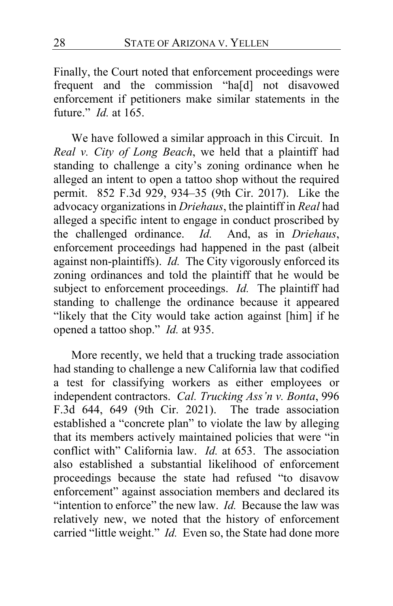Finally, the Court noted that enforcement proceedings were frequent and the commission "ha[d] not disavowed enforcement if petitioners make similar statements in the future." *Id.* at 165.

We have followed a similar approach in this Circuit. In *Real v. City of Long Beach*, we held that a plaintiff had standing to challenge a city's zoning ordinance when he alleged an intent to open a tattoo shop without the required permit. 852 F.3d 929, 934–35 (9th Cir. 2017). Like the advocacy organizations in *Driehaus*, the plaintiff in *Real* had alleged a specific intent to engage in conduct proscribed by the challenged ordinance. *Id.* And, as in *Driehaus*, enforcement proceedings had happened in the past (albeit against non-plaintiffs). *Id.* The City vigorously enforced its zoning ordinances and told the plaintiff that he would be subject to enforcement proceedings. *Id.* The plaintiff had standing to challenge the ordinance because it appeared "likely that the City would take action against [him] if he opened a tattoo shop." *Id.* at 935.

More recently, we held that a trucking trade association had standing to challenge a new California law that codified a test for classifying workers as either employees or independent contractors. *Cal. Trucking Ass'n v. Bonta*, 996 F.3d 644, 649 (9th Cir. 2021). The trade association established a "concrete plan" to violate the law by alleging that its members actively maintained policies that were "in conflict with" California law. *Id.* at 653. The association also established a substantial likelihood of enforcement proceedings because the state had refused "to disavow enforcement" against association members and declared its "intention to enforce" the new law. *Id.* Because the law was relatively new, we noted that the history of enforcement carried "little weight." *Id.* Even so, the State had done more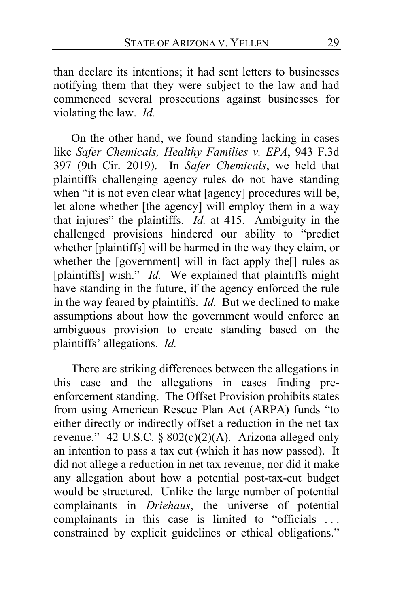than declare its intentions; it had sent letters to businesses notifying them that they were subject to the law and had commenced several prosecutions against businesses for violating the law. *Id.*

On the other hand, we found standing lacking in cases like *Safer Chemicals, Healthy Families v. EPA*, 943 F.3d 397 (9th Cir. 2019). In *Safer Chemicals*, we held that plaintiffs challenging agency rules do not have standing when "it is not even clear what [agency] procedures will be, let alone whether [the agency] will employ them in a way that injures" the plaintiffs. *Id.* at 415. Ambiguity in the challenged provisions hindered our ability to "predict whether [plaintiffs] will be harmed in the way they claim, or whether the [government] will in fact apply the[] rules as [plaintiffs] wish." *Id.* We explained that plaintiffs might have standing in the future, if the agency enforced the rule in the way feared by plaintiffs. *Id.* But we declined to make assumptions about how the government would enforce an ambiguous provision to create standing based on the plaintiffs' allegations. *Id.*

There are striking differences between the allegations in this case and the allegations in cases finding preenforcement standing. The Offset Provision prohibits states from using American Rescue Plan Act (ARPA) funds "to either directly or indirectly offset a reduction in the net tax revenue." 42 U.S.C. §  $802(c)(2)(A)$ . Arizona alleged only an intention to pass a tax cut (which it has now passed). It did not allege a reduction in net tax revenue, nor did it make any allegation about how a potential post-tax-cut budget would be structured. Unlike the large number of potential complainants in *Driehaus*, the universe of potential complainants in this case is limited to "officials . . . constrained by explicit guidelines or ethical obligations."